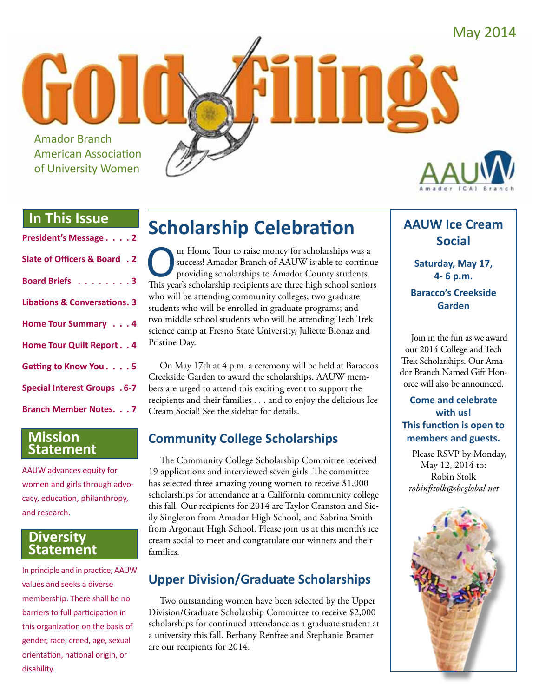May 2014

## **In This Issue**

Amador Branch

American Association of University Women

| President's Message 2                   |
|-----------------------------------------|
| Slate of Officers & Board . 2           |
| Board Briefs 3                          |
| <b>Libations &amp; Conversations. 3</b> |
| Home Tour Summary 4                     |
| Home Tour Quilt Report. . 4             |
| Getting to Know You. 5                  |
| <b>Special Interest Groups . 6-7</b>    |
| <b>Branch Member Notes 7</b>            |

### **Mission Statement**

AAUW advances equity for women and girls through advocacy, education, philanthropy, and research.

### **Diversity Statement**

In principle and in practice, AAUW values and seeks a diverse membership. There shall be no barriers to full participation in this organization on the basis of gender, race, creed, age, sexual orientation, national origin, or disability.

## **Scholarship Celebration**

The Tour to raise money for scholarships was a<br>success! Amador Branch of AAUW is able to continu<br>providing scholarships to Amador County students.<br>This vear's scholarship recipients are three high school senior success! Amador Branch of AAUW is able to continue providing scholarships to Amador County students. This year's scholarship recipients are three high school seniors who will be attending community colleges; two graduate students who will be enrolled in graduate programs; and two middle school students who will be attending Tech Trek science camp at Fresno State University, Juliette Bionaz and Pristine Day.

On May 17th at 4 p.m. a ceremony will be held at Baracco's Creekside Garden to award the scholarships. AAUW members are urged to attend this exciting event to support the recipients and their families . . . and to enjoy the delicious Ice Cream Social! See the sidebar for details.

## **Community College Scholarships**

The Community College Scholarship Committee received 19 applications and interviewed seven girls. The committee has selected three amazing young women to receive \$1,000 scholarships for attendance at a California community college this fall. Our recipients for 2014 are Taylor Cranston and Sicily Singleton from Amador High School, and Sabrina Smith from Argonaut High School. Please join us at this month's ice cream social to meet and congratulate our winners and their families.

## **Upper Division/Graduate Scholarships**

Two outstanding women have been selected by the Upper Division/Graduate Scholarship Committee to receive \$2,000 scholarships for continued attendance as a graduate student at a university this fall. Bethany Renfree and Stephanie Bramer are our recipients for 2014.

## **AAUW Ice Cream Social**

**Saturday, May 17, 4- 6 p.m.**

### **Baracco's Creekside Garden**

Join in the fun as we award our 2014 College and Tech Trek Scholarships. Our Amador Branch Named Gift Honoree will also be announced.

### **Come and celebrate with us! This function is open to members and guests.**

Please RSVP by Monday, May 12, 2014 to: Robin Stolk *robinfstolk@sbcglobal.net*

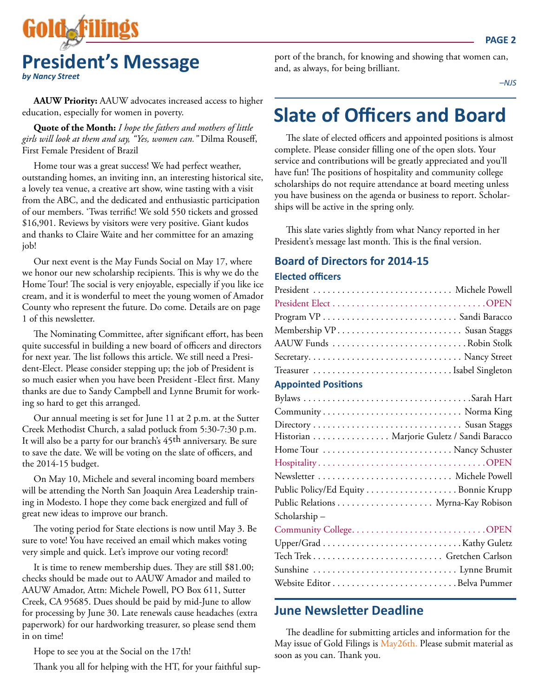

**AAUW Priority:** AAUW advocates increased access to higher education, especially for women in poverty.

**Quote of the Month:** *I hope the fathers and mothers of little girls will look at them and say, "Yes, women can."* Dilma Rouseff, First Female President of Brazil

Home tour was a great success! We had perfect weather, outstanding homes, an inviting inn, an interesting historical site, a lovely tea venue, a creative art show, wine tasting with a visit from the ABC, and the dedicated and enthusiastic participation of our members. 'Twas terrific! We sold 550 tickets and grossed \$16,901. Reviews by visitors were very positive. Giant kudos and thanks to Claire Waite and her committee for an amazing job!

Our next event is the May Funds Social on May 17, where we honor our new scholarship recipients. This is why we do the Home Tour! The social is very enjoyable, especially if you like ice cream, and it is wonderful to meet the young women of Amador County who represent the future. Do come. Details are on page 1 of this newsletter.

The Nominating Committee, after significant effort, has been quite successful in building a new board of officers and directors for next year. The list follows this article. We still need a President-Elect. Please consider stepping up; the job of President is so much easier when you have been President -Elect first. Many thanks are due to Sandy Campbell and Lynne Brumit for working so hard to get this arranged.

Our annual meeting is set for June 11 at 2 p.m. at the Sutter Creek Methodist Church, a salad potluck from 5:30-7:30 p.m. It will also be a party for our branch's 45th anniversary. Be sure to save the date. We will be voting on the slate of officers, and the 2014-15 budget.

On May 10, Michele and several incoming board members will be attending the North San Joaquin Area Leadership training in Modesto. I hope they come back energized and full of great new ideas to improve our branch.

The voting period for State elections is now until May 3. Be sure to vote! You have received an email which makes voting very simple and quick. Let's improve our voting record!

It is time to renew membership dues. They are still \$81.00; checks should be made out to AAUW Amador and mailed to AAUW Amador, Attn: Michele Powell, PO Box 611, Sutter Creek, CA 95685. Dues should be paid by mid-June to allow for processing by June 30. Late renewals cause headaches (extra paperwork) for our hardworking treasurer, so please send them in on time!

Hope to see you at the Social on the 17th!

Thank you all for helping with the HT, for your faithful sup-

port of the branch, for knowing and showing that women can, and, as always, for being brilliant.

*–NJS*

## **Slate of Officers and Board**

The slate of elected officers and appointed positions is almost complete. Please consider filling one of the open slots. Your service and contributions will be greatly appreciated and you'll have fun! The positions of hospitality and community college scholarships do not require attendance at board meeting unless you have business on the agenda or business to report. Scholarships will be active in the spring only.

This slate varies slightly from what Nancy reported in her President's message last month. This is the final version.

## **Board of Directors for 2014-15**

#### **Elected officers**

| Membership VP Susan Staggs |  |
|----------------------------|--|
| AAUW Funds Robin Stolk     |  |
|                            |  |
|                            |  |

### **Appointed Positions**

|               | Historian Marjorie Guletz / Sandi Baracco |
|---------------|-------------------------------------------|
|               |                                           |
|               |                                           |
|               |                                           |
|               | Public Policy/Ed Equity Bonnie Krupp      |
|               |                                           |
| Scholarship – |                                           |
|               |                                           |
|               |                                           |
|               |                                           |
|               | Sunshine  Lynne Brumit                    |
|               |                                           |
|               |                                           |

### **June Newsletter Deadline**

The deadline for submitting articles and information for the May issue of Gold Filings is May26th. Please submit material as soon as you can. Thank you.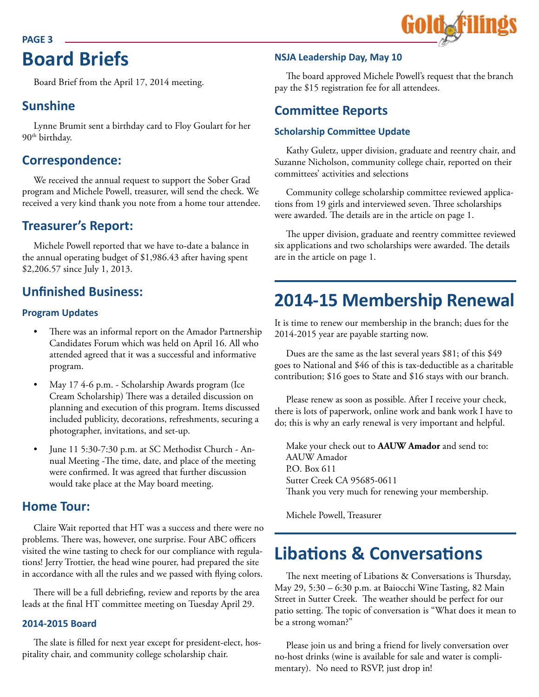#### **PAGE 3**

## **Board Briefs**

Board Brief from the April 17, 2014 meeting.

### **Sunshine**

Lynne Brumit sent a birthday card to Floy Goulart for her 90<sup>th</sup> birthday.

## **Correspondence:**

We received the annual request to support the Sober Grad program and Michele Powell, treasurer, will send the check. We received a very kind thank you note from a home tour attendee.

### **Treasurer's Report:**

Michele Powell reported that we have to-date a balance in the annual operating budget of \$1,986.43 after having spent \$2,206.57 since July 1, 2013.

## **Unfinished Business:**

### **Program Updates**

- There was an informal report on the Amador Partnership Candidates Forum which was held on April 16. All who attended agreed that it was a successful and informative program.
- May 17 4-6 p.m. Scholarship Awards program (Ice Cream Scholarship) There was a detailed discussion on planning and execution of this program. Items discussed included publicity, decorations, refreshments, securing a photographer, invitations, and set-up.
- June 11 5:30-7:30 p.m. at SC Methodist Church Annual Meeting -The time, date, and place of the meeting were confirmed. It was agreed that further discussion would take place at the May board meeting.

### **Home Tour:**

Claire Wait reported that HT was a success and there were no problems. There was, however, one surprise. Four ABC officers visited the wine tasting to check for our compliance with regulations! Jerry Trottier, the head wine pourer, had prepared the site in accordance with all the rules and we passed with flying colors.

There will be a full debriefing, review and reports by the area leads at the final HT committee meeting on Tuesday April 29.

### **2014-2015 Board**

The slate is filled for next year except for president-elect, hospitality chair, and community college scholarship chair.

### **NSJA Leadership Day, May 10**

The board approved Michele Powell's request that the branch pay the \$15 registration fee for all attendees.

### **Committee Reports**

### **Scholarship Committee Update**

Kathy Guletz, upper division, graduate and reentry chair, and Suzanne Nicholson, community college chair, reported on their committees' activities and selections

Community college scholarship committee reviewed applications from 19 girls and interviewed seven. Three scholarships were awarded. The details are in the article on page 1.

The upper division, graduate and reentry committee reviewed six applications and two scholarships were awarded. The details are in the article on page 1.

## **2014-15 Membership Renewal**

It is time to renew our membership in the branch; dues for the 2014-2015 year are payable starting now.

Dues are the same as the last several years \$81; of this \$49 goes to National and \$46 of this is tax-deductible as a charitable contribution; \$16 goes to State and \$16 stays with our branch.

Please renew as soon as possible. After I receive your check, there is lots of paperwork, online work and bank work I have to do; this is why an early renewal is very important and helpful.

Make your check out to **AAUW Amador** and send to: AAUW Amador P.O. Box 611 Sutter Creek CA 95685-0611 Thank you very much for renewing your membership.

Michele Powell, Treasurer

## **Libations & Conversations**

The next meeting of Libations & Conversations is Thursday, May 29, 5:30 – 6:30 p.m. at Baiocchi Wine Tasting, 82 Main Street in Sutter Creek. The weather should be perfect for our patio setting. The topic of conversation is "What does it mean to be a strong woman?"

Please join us and bring a friend for lively conversation over no-host drinks (wine is available for sale and water is complimentary). No need to RSVP, just drop in!

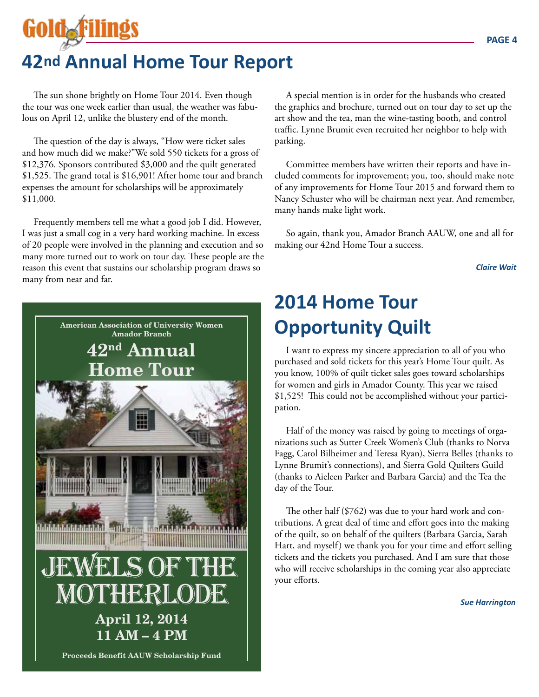## **42nd Annual Home Tour Report**

The sun shone brightly on Home Tour 2014. Even though the tour was one week earlier than usual, the weather was fabulous on April 12, unlike the blustery end of the month.

The question of the day is always, "How were ticket sales and how much did we make?"We sold 550 tickets for a gross of \$12,376. Sponsors contributed \$3,000 and the quilt generated \$1,525. The grand total is \$16,901! After home tour and branch expenses the amount for scholarships will be approximately \$11,000.

Frequently members tell me what a good job I did. However, I was just a small cog in a very hard working machine. In excess of 20 people were involved in the planning and execution and so many more turned out to work on tour day. These people are the reason this event that sustains our scholarship program draws so many from near and far.



A special mention is in order for the husbands who created the graphics and brochure, turned out on tour day to set up the art show and the tea, man the wine-tasting booth, and control traffic. Lynne Brumit even recruited her neighbor to help with parking.

Committee members have written their reports and have included comments for improvement; you, too, should make note of any improvements for Home Tour 2015 and forward them to Nancy Schuster who will be chairman next year. And remember, many hands make light work.

So again, thank you, Amador Branch AAUW, one and all for making our 42nd Home Tour a success.

*Claire Wait*

## **2014 Home Tour Opportunity Quilt**

I want to express my sincere appreciation to all of you who purchased and sold tickets for this year's Home Tour quilt. As you know, 100% of quilt ticket sales goes toward scholarships for women and girls in Amador County. This year we raised \$1,525! This could not be accomplished without your participation.

Half of the money was raised by going to meetings of organizations such as Sutter Creek Women's Club (thanks to Norva Fagg, Carol Bilheimer and Teresa Ryan), Sierra Belles (thanks to Lynne Brumit's connections), and Sierra Gold Quilters Guild (thanks to Aieleen Parker and Barbara Garcia) and the Tea the day of the Tour.

The other half (\$762) was due to your hard work and contributions. A great deal of time and effort goes into the making of the quilt, so on behalf of the quilters (Barbara Garcia, Sarah Hart, and myself) we thank you for your time and effort selling tickets and the tickets you purchased. And I am sure that those who will receive scholarships in the coming year also appreciate your efforts.

*Sue Harrington*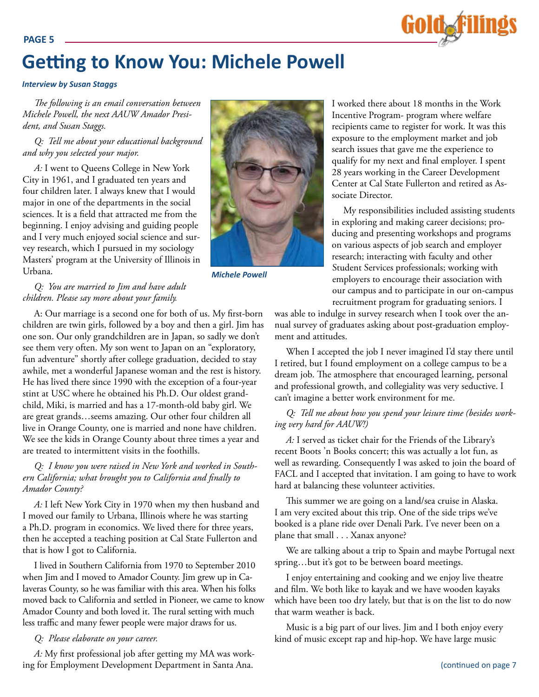

## **Getting to Know You: Michele Powell**

#### *Interview by Susan Staggs*

*The following is an email conversation between Michele Powell, the next AAUW Amador President, and Susan Staggs.*

#### *Q: Tell me about your educational background and why you selected your major.*

*A:* I went to Queens College in New York City in 1961, and I graduated ten years and four children later. I always knew that I would major in one of the departments in the social sciences. It is a field that attracted me from the beginning. I enjoy advising and guiding people and I very much enjoyed social science and survey research, which I pursued in my sociology Masters' program at the University of Illinois in Urbana.



*Michele Powell*

I worked there about 18 months in the Work Incentive Program- program where welfare recipients came to register for work. It was this exposure to the employment market and job search issues that gave me the experience to qualify for my next and final employer. I spent 28 years working in the Career Development Center at Cal State Fullerton and retired as Associate Director.

My responsibilities included assisting students in exploring and making career decisions; producing and presenting workshops and programs on various aspects of job search and employer research; interacting with faculty and other Student Services professionals; working with employers to encourage their association with our campus and to participate in our on-campus recruitment program for graduating seniors. I

was able to indulge in survey research when I took over the annual survey of graduates asking about post-graduation employment and attitudes.

When I accepted the job I never imagined I'd stay there until I retired, but I found employment on a college campus to be a dream job. The atmosphere that encouraged learning, personal and professional growth, and collegiality was very seductive. I can't imagine a better work environment for me.

#### *Q: Tell me about how you spend your leisure time (besides working very hard for AAUW!)*

*A:* I served as ticket chair for the Friends of the Library's recent Boots 'n Books concert; this was actually a lot fun, as well as rewarding. Consequently I was asked to join the board of FACL and I accepted that invitation. I am going to have to work hard at balancing these volunteer activities.

This summer we are going on a land/sea cruise in Alaska. I am very excited about this trip. One of the side trips we've booked is a plane ride over Denali Park. I've never been on a plane that small . . . Xanax anyone?

We are talking about a trip to Spain and maybe Portugal next spring…but it's got to be between board meetings.

I enjoy entertaining and cooking and we enjoy live theatre and film. We both like to kayak and we have wooden kayaks which have been too dry lately, but that is on the list to do now that warm weather is back.

Music is a big part of our lives. Jim and I both enjoy every kind of music except rap and hip-hop. We have large music

#### *Q: You are married to Jim and have adult children. Please say more about your family.*

A: Our marriage is a second one for both of us. My first-born children are twin girls, followed by a boy and then a girl. Jim has one son. Our only grandchildren are in Japan, so sadly we don't see them very often. My son went to Japan on an "exploratory, fun adventure" shortly after college graduation, decided to stay awhile, met a wonderful Japanese woman and the rest is history. He has lived there since 1990 with the exception of a four-year stint at USC where he obtained his Ph.D. Our oldest grandchild, Miki, is married and has a 17-month-old baby girl. We are great grands…seems amazing. Our other four children all live in Orange County, one is married and none have children. We see the kids in Orange County about three times a year and are treated to intermittent visits in the foothills.

### *Q: I know you were raised in New York and worked in Southern California; what brought you to California and finally to Amador County?*

*A:* I left New York City in 1970 when my then husband and I moved our family to Urbana, Illinois where he was starting a Ph.D. program in economics. We lived there for three years, then he accepted a teaching position at Cal State Fullerton and that is how I got to California.

I lived in Southern California from 1970 to September 2010 when Jim and I moved to Amador County. Jim grew up in Calaveras County, so he was familiar with this area. When his folks moved back to California and settled in Pioneer, we came to know Amador County and both loved it. The rural setting with much less traffic and many fewer people were major draws for us.

#### *Q: Please elaborate on your career.*

*A:* My first professional job after getting my MA was working for Employment Development Department in Santa Ana.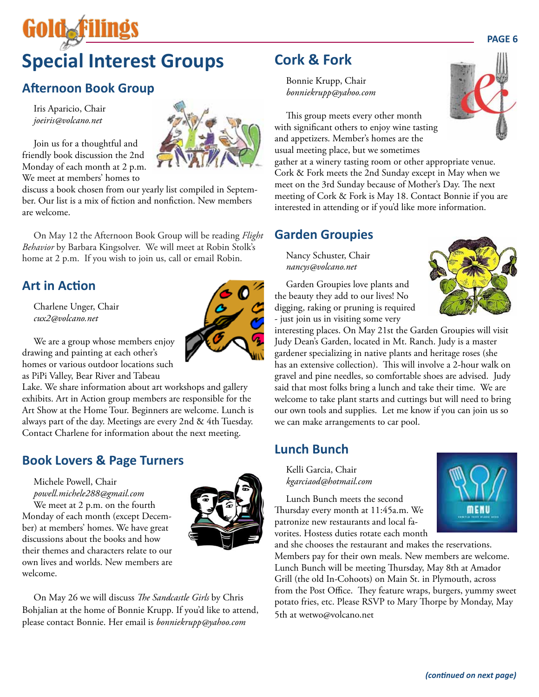# **Special Interest Groups**

## **Afternoon Book Group**

Iris Aparicio, Chair *joeiris@volcano.net*

GOIOAF

Join us for a thoughtful and friendly book discussion the 2nd Monday of each month at 2 p.m. We meet at members' homes to

discuss a book chosen from our yearly list compiled in September. Our list is a mix of fiction and nonfiction. New members are welcome.

On May 12 the Afternoon Book Group will be reading *Flight Behavior* by Barbara Kingsolver. We will meet at Robin Stolk's home at 2 p.m. If you wish to join us, call or email Robin.

## **Art in Action**

Charlene Unger, Chair *cux2@volcano.net*

We are a group whose members enjoy drawing and painting at each other's homes or various outdoor locations such as PiPi Valley, Bear River and Tabeau

Lake. We share information about art workshops and gallery exhibits. Art in Action group members are responsible for the Art Show at the Home Tour. Beginners are welcome. Lunch is always part of the day. Meetings are every 2nd & 4th Tuesday. Contact Charlene for information about the next meeting.

## **Book Lovers & Page Turners**

Michele Powell, Chair

*powell.michele288@gmail.com* We meet at 2 p.m. on the fourth Monday of each month (except December) at members' homes. We have great discussions about the books and how their themes and characters relate to our own lives and worlds. New members are welcome.



On May 26 we will discuss *The Sandcastle Girls* by Chris Bohjalian at the home of Bonnie Krupp. If you'd like to attend, please contact Bonnie. Her email is *bonniekrupp@yahoo.com*

## **Cork & Fork**

Bonnie Krupp, Chair *bonniekrupp@yahoo.com*

This group meets every other month with significant others to enjoy wine tasting and appetizers. Member's homes are the usual meeting place, but we sometimes

gather at a winery tasting room or other appropriate venue. Cork & Fork meets the 2nd Sunday except in May when we meet on the 3rd Sunday because of Mother's Day. The next meeting of Cork & Fork is May 18. Contact Bonnie if you are interested in attending or if you'd like more information.

### **Garden Groupies**

Nancy Schuster, Chair *nancys@volcano.net*

Garden Groupies love plants and the beauty they add to our lives! No digging, raking or pruning is required - just join us in visiting some very

interesting places. On May 21st the Garden Groupies will visit Judy Dean's Garden, located in Mt. Ranch. Judy is a master gardener specializing in native plants and heritage roses (she has an extensive collection). This will involve a 2-hour walk on gravel and pine needles, so comfortable shoes are advised. Judy said that most folks bring a lunch and take their time. We are welcome to take plant starts and cuttings but will need to bring our own tools and supplies. Let me know if you can join us so we can make arrangements to car pool.

## **Lunch Bunch**

Kelli Garcia, Chair *kgarciaod@hotmail.com*

Lunch Bunch meets the second Thursday every month at 11:45a.m. We patronize new restaurants and local favorites. Hostess duties rotate each month

and she chooses the restaurant and makes the reservations. Members pay for their own meals. New members are welcome. Lunch Bunch will be meeting Thursday, May 8th at Amador Grill (the old In-Cohoots) on Main St. in Plymouth, across from the Post Office. They feature wraps, burgers, yummy sweet potato fries, etc. Please RSVP to Mary Thorpe by Monday, May 5th at wetwo@volcano.net